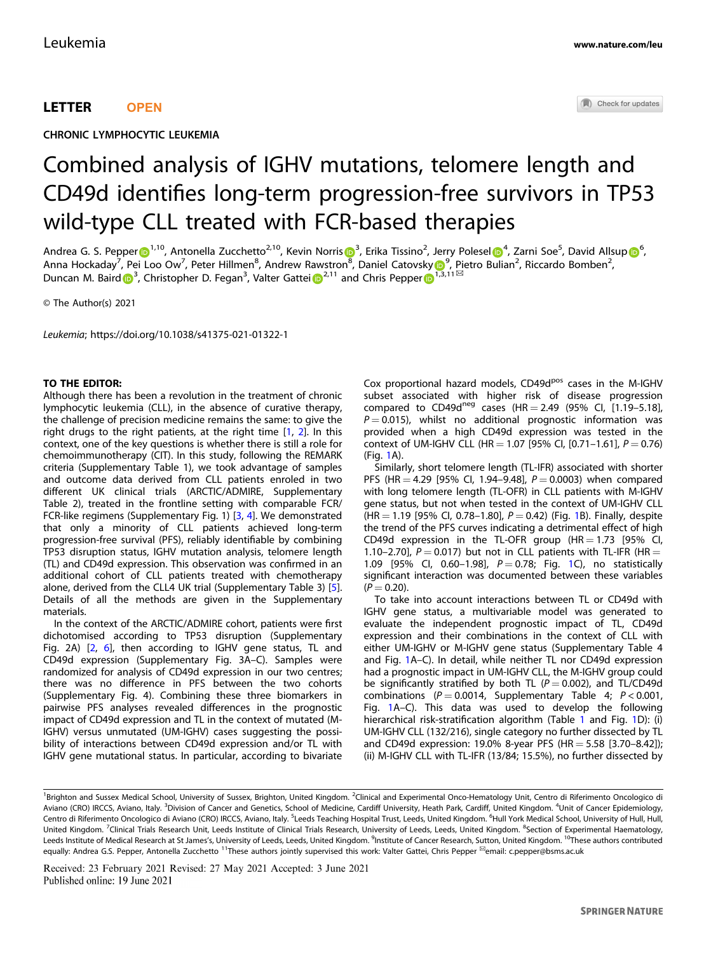## LETTER **OPEN**

CHRONIC LYMPHOCYTIC LEUKEMIA

# Combined analysis of IGHV mutations, telomere length and CD49d identifies long-term progression-free survivors in TP53 wild-type CLL treated with FCR-based therapies

And[r](http://orcid.org/0000-0001-9795-1280)ea G. S. Pepper $\Phi^{1,10}$  $\Phi^{1,10}$  $\Phi^{1,10}$ , Antonella Zucchetto<sup>2,10</sup>, Kevin Norris $\Phi^3$  $\Phi^3$ , Erika Tissino<sup>2</sup>, Jerry Polesel $\Phi^4$  $\Phi^4$ , Zarni Soe<sup>5</sup>, David Allsup $\Phi^6$  $\Phi^6$ , Anna Hockaday<sup>7</sup>, Pei Loo Ow<sup>7</sup>, Peter Hillmen<sup>[8](http://orcid.org/0000-0002-6448-8696)</sup>, Andrew Rawstron<sup>8</sup>, Daniel Catovsk[y](http://orcid.org/0000-0001-6421-1075) D<sup>[9](http://orcid.org/0000-0001-6421-1075)</sup>, Pietro Bulian<sup>2</sup>, Riccardo Bomben<sup>2</sup>, Duncan M. Ba[i](http://orcid.org/0000-0001-5933-9680)rd  $\int_0^3$  $\int_0^3$ , Christopher D. Fegan<sup>3</sup>, Valter Gattei  $\int_0^{2,11}$  $\int_0^{2,11}$  $\int_0^{2,11}$  $\int_0^{2,11}$  $\int_0^{2,11}$  and Chris Pepper  $\int_0^{1,3,11\%}$  $\int_0^{1,3,11\%}$  $\int_0^{1,3,11\%}$ 

© The Author(s) 2021

Leukemia; https://doi.org/10.1038/s41375-021-01322-1

## TO THE EDITOR:

Although there has been a revolution in the treatment of chronic lymphocytic leukemia (CLL), in the absence of curative therapy, the challenge of precision medicine remains the same: to give the right drugs to the right patients, at the right time [\[1](#page-3-0), [2\]](#page-3-0). In this context, one of the key questions is whether there is still a role for chemoimmunotherapy (CIT). In this study, following the REMARK criteria (Supplementary Table 1), we took advantage of samples and outcome data derived from CLL patients enroled in two different UK clinical trials (ARCTIC/ADMIRE, Supplementary Table 2), treated in the frontline setting with comparable FCR/ FCR-like regimens (Supplementary Fig. 1) [[3](#page-3-0), [4](#page-3-0)]. We demonstrated that only a minority of CLL patients achieved long-term progression-free survival (PFS), reliably identifiable by combining TP53 disruption status, IGHV mutation analysis, telomere length (TL) and CD49d expression. This observation was confirmed in an additional cohort of CLL patients treated with chemotherapy alone, derived from the CLL4 UK trial (Supplementary Table 3) [\[5\]](#page-3-0). Details of all the methods are given in the Supplementary materials.

In the context of the ARCTIC/ADMIRE cohort, patients were first dichotomised according to TP53 disruption (Supplementary Fig. 2A) [[2](#page-3-0), [6\]](#page-3-0), then according to IGHV gene status, TL and CD49d expression (Supplementary Fig. 3A–C). Samples were randomized for analysis of CD49d expression in our two centres; there was no difference in PFS between the two cohorts (Supplementary Fig. 4). Combining these three biomarkers in pairwise PFS analyses revealed differences in the prognostic impact of CD49d expression and TL in the context of mutated (M-IGHV) versus unmutated (UM-IGHV) cases suggesting the possibility of interactions between CD49d expression and/or TL with IGHV gene mutational status. In particular, according to bivariate Cox proportional hazard models, CD49d<sup>pos</sup> cases in the M-IGHV subset associated with higher risk of disease progression compared to CD49d<sup>neg</sup> cases (HR = 2.49 (95% CI,  $[1.19-5.18]$ ,  $P = 0.015$ ), whilst no additional prognostic information was provided when a high CD49d expression was tested in the context of UM-IGHV CLL (HR = 1.07 [95% CI, [0.71-1.61],  $P = 0.76$ ) (Fig. [1](#page-1-0)A).

Similarly, short telomere length (TL-IFR) associated with shorter PFS (HR = 4.29 [95% CI, 1.94–9.48],  $P = 0.0003$ ) when compared with long telomere length (TL-OFR) in CLL patients with M-IGHV gene status, but not when tested in the context of UM-IGHV CLL (HR = [1](#page-1-0).19 [95% CI, 0.78-1.80],  $P = 0.42$ ) (Fig. 1B). Finally, despite the trend of the PFS curves indicating a detrimental effect of high CD49d expression in the TL-OFR group  $(HR = 1.73$  [95% CI, 1.10–2.70],  $P = 0.017$ ) but not in CLL patients with TL-IFR (HR  $=$ [1](#page-1-0).09 [95% Cl, 0.60-1.98],  $P = 0.78$ ; Fig. 1C), no statistically significant interaction was documented between these variables  $(P = 0.20)$ .

To take into account interactions between TL or CD49d with IGHV gene status, a multivariable model was generated to evaluate the independent prognostic impact of TL, CD49d expression and their combinations in the context of CLL with either UM-IGHV or M-IGHV gene status (Supplementary Table 4 and Fig. [1A](#page-1-0)–C). In detail, while neither TL nor CD49d expression had a prognostic impact in UM-IGHV CLL, the M-IGHV group could be significantly stratified by both TL ( $P = 0.002$ ), and TL/CD49d combinations ( $P = 0.0014$ , Supplementary Table 4;  $P < 0.001$ , Fig. [1](#page-1-0)A–C). This data was used to develop the following hierarchical risk-stratification algorithm (Table [1](#page-2-0) and Fig. [1D](#page-1-0)): (i) UM-IGHV CLL (132/216), single category no further dissected by TL and CD49d expression: 19.0% 8-year PFS (HR = 5.58 [3.70-8.42]); (ii) M-IGHV CLL with TL-IFR (13/84; 15.5%), no further dissected by

<sup>&</sup>lt;sup>1</sup>Brighton and Sussex Medical School, University of Sussex, Brighton, United Kingdom. <sup>2</sup>Clinical and Experimental Onco-Hematology Unit, Centro di Riferimento Oncologico di Aviano (CRO) IRCCS, Aviano, Italy. <sup>3</sup>Division of Cancer and Genetics, School of Medicine, Cardiff University, Heath Park, Cardiff, United Kingdom. <sup>4</sup>Unit of Cancer Epidemiology, Centro di Riferimento Oncologico di Aviano (CRO) IRCCS, Aviano, Italy. <sup>5</sup>Leeds Teaching Hospital Trust, Leeds, United Kingdom. <sup>6</sup>Hull York Medical School, University of Hull, Hull, United Kingdom. <sup>7</sup>Clinical Trials Research Unit, Leeds Institute of Clinical Trials Research, University of Leeds, Leeds, United Kingdom. <sup>8</sup>Section of Experimental Haematology, Leeds Institute of Medical Research at St James's, University of Leeds, Leeds, United Kingdom. <sup>9</sup>Institute of Cancer Research, Sutton, United Kingdom. <sup>10</sup>These authors contributed equally: Andrea G.S. Pepper, Antonella Zucchetto <sup>11</sup>These authors jointly supervised this work: Valter Gattei, Chris Pepper <sup>⊠</sup>email: [c.pepper@bsms.ac.uk](mailto:c.pepper@bsms.ac.uk)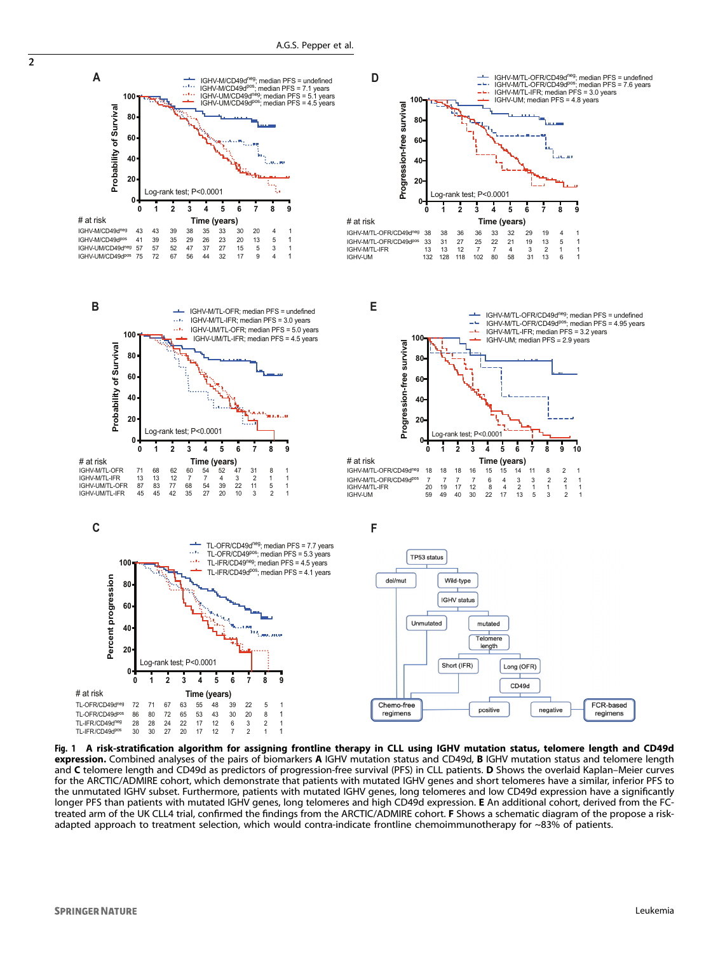

Fig. 1 A risk-stratification algorithm for assigning frontline therapy in CLL using IGHV mutation status, telomere length and CD49d expression. Combined analyses of the pairs of biomarkers A IGHV mutation status and CD49d, B IGHV mutation status and telomere length and C telomere length and CD49d as predictors of progression-free survival (PFS) in CLL patients. D Shows the overlaid Kaplan–Meier curves for the ARCTIC/ADMIRE cohort, which demonstrate that patients with mutated IGHV genes and short telomeres have a similar, inferior PFS to the unmutated IGHV subset. Furthermore, patients with mutated IGHV genes, long telomeres and low CD49d expression have a significantly longer PFS than patients with mutated IGHV genes, long telomeres and high CD49d expression. E An additional cohort, derived from the FCtreated arm of the UK CLL4 trial, confirmed the findings from the ARCTIC/ADMIRE cohort. F Shows a schematic diagram of the propose a riskadapted approach to treatment selection, which would contra-indicate frontline chemoimmunotherapy for ~83% of patients.

<span id="page-1-0"></span> $\overline{2}$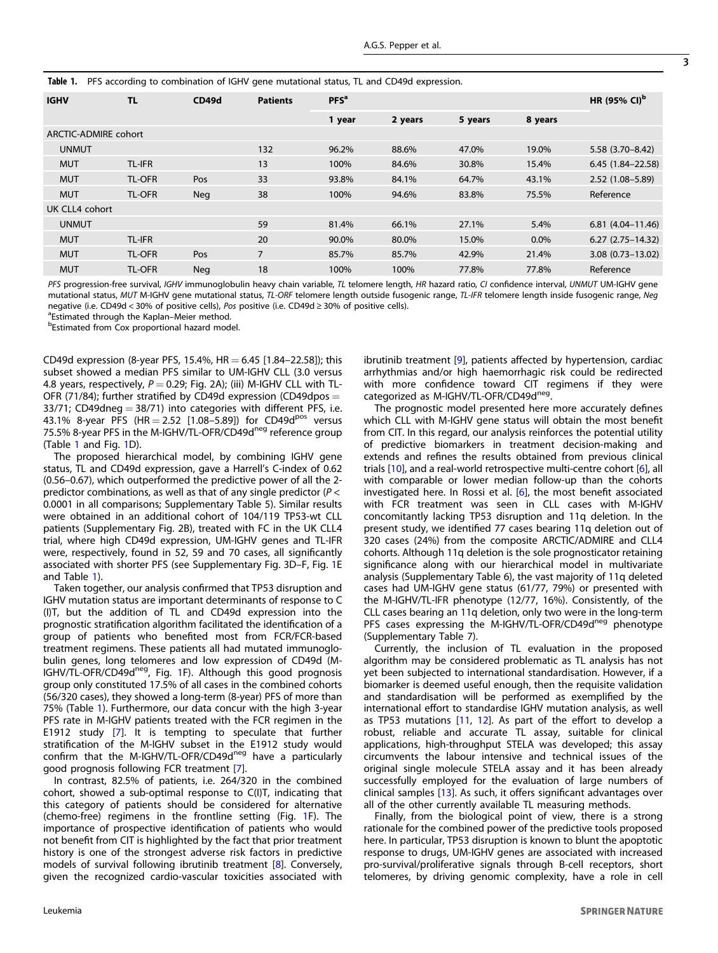<span id="page-2-0"></span>

|  | Table 1. PFS according to combination of IGHV gene mutational status, TL and CD49d expression. |
|--|------------------------------------------------------------------------------------------------|
|  |                                                                                                |

| <b>IGHV</b>          | <b>TL</b>     | CD49d      | <b>Patients</b> | PFS <sup>a</sup> |         |         |         |                         |  |
|----------------------|---------------|------------|-----------------|------------------|---------|---------|---------|-------------------------|--|
|                      |               |            |                 | 1 year           | 2 years | 5 years | 8 years |                         |  |
| ARCTIC-ADMIRE cohort |               |            |                 |                  |         |         |         |                         |  |
| <b>UNMUT</b>         |               |            | 132             | 96.2%            | 88.6%   | 47.0%   | 19.0%   | $5.58(3.70 - 8.42)$     |  |
| <b>MUT</b>           | <b>TL-IFR</b> |            | 13              | 100%             | 84.6%   | 30.8%   | 15.4%   | $6.45$ (1.84-22.58)     |  |
| <b>MUT</b>           | TL-OFR        | Pos        | 33              | 93.8%            | 84.1%   | 64.7%   | 43.1%   | $2.52(1.08 - 5.89)$     |  |
| <b>MUT</b>           | <b>TL-OFR</b> | <b>Neg</b> | 38              | 100%             | 94.6%   | 83.8%   | 75.5%   | Reference               |  |
| UK CLL4 cohort       |               |            |                 |                  |         |         |         |                         |  |
| <b>UNMUT</b>         |               |            | 59              | 81.4%            | 66.1%   | 27.1%   | 5.4%    | $6.81(4.04 - 11.46)$    |  |
| <b>MUT</b>           | <b>TL-IFR</b> |            | 20              | 90.0%            | 80.0%   | 15.0%   | $0.0\%$ | $6.27$ $(2.75-14.32)$   |  |
| <b>MUT</b>           | <b>TL-OFR</b> | Pos        | $\overline{7}$  | 85.7%            | 85.7%   | 42.9%   | 21.4%   | $3.08$ $(0.73 - 13.02)$ |  |
| <b>MUT</b>           | <b>TL-OFR</b> | <b>Neg</b> | 18              | 100%             | 100%    | 77.8%   | 77.8%   | Reference               |  |

PFS progression-free survival, IGHV immunoglobulin heavy chain variable, TL telomere length, HR hazard ratio, CI confidence interval, UNMUT UM-IGHV gene mutational status, MUT M-IGHV gene mutational status, TL-ORF telomere length outside fusogenic range, TL-IFR telomere length inside fusogenic range, Neg negative (i.e. CD49d < 30% of positive cells), Pos positive (i.e. CD49d ≥ 30% of positive cells).

<sup>a</sup>Estimated through the Kaplan-Meier method.

**bEstimated from Cox proportional hazard model.** 

CD49d expression (8-year PFS, 15.4%, HR = 6.45 [1.84-22.58]); this subset showed a median PFS similar to UM-IGHV CLL (3.0 versus 4.8 years, respectively,  $P = 0.29$ ; Fig. 2A); (iii) M-IGHV CLL with TL-OFR (71/84); further stratified by CD49d expression (CD49dpos  $=$  $33/71$ ; CD49dneg =  $38/71$ ) into categories with different PFS, i.e. 43.1% 8-year PFS (HR = 2.52 [1.08-5.89]) for CD49d<sup>pos</sup> versus 75.5% 8-year PFS in the M-IGHV/TL-OFR/CD49d<sup>neg</sup> reference group (Table 1 and Fig. [1](#page-1-0)D).

The proposed hierarchical model, by combining IGHV gene status, TL and CD49d expression, gave a Harrell's C-index of 0.62 (0.56–0.67), which outperformed the predictive power of all the 2 predictor combinations, as well as that of any single predictor ( $P <$ 0.0001 in all comparisons; Supplementary Table 5). Similar results were obtained in an additional cohort of 104/119 TP53-wt CLL patients (Supplementary Fig. 2B), treated with FC in the UK CLL4 trial, where high CD49d expression, UM-IGHV genes and TL-IFR were, respectively, found in 52, 59 and 70 cases, all significantly associated with shorter PFS (see Supplementary Fig. 3D–F, Fig. [1E](#page-1-0) and Table 1).

Taken together, our analysis confirmed that TP53 disruption and IGHV mutation status are important determinants of response to C (I)T, but the addition of TL and CD49d expression into the prognostic stratification algorithm facilitated the identification of a group of patients who benefited most from FCR/FCR-based treatment regimens. These patients all had mutated immunoglobulin genes, long telomeres and low expression of CD49d (M-IGHV/TL-OFR/CD49d<sup>neg</sup>, Fig. [1F](#page-1-0)). Although this good prognosis group only constituted 17.5% of all cases in the combined cohorts (56/320 cases), they showed a long-term (8-year) PFS of more than 75% (Table 1). Furthermore, our data concur with the high 3-year PFS rate in M-IGHV patients treated with the FCR regimen in the E1912 study [[7](#page-3-0)]. It is tempting to speculate that further stratification of the M-IGHV subset in the E1912 study would confirm that the M-IGHV/TL-OFR/CD49d<sup>neg</sup> have a particularly good prognosis following FCR treatment [\[7\]](#page-3-0).

In contrast, 82.5% of patients, i.e. 264/320 in the combined cohort, showed a sub-optimal response to C(I)T, indicating that this category of patients should be considered for alternative (chemo-free) regimens in the frontline setting (Fig. [1F](#page-1-0)). The importance of prospective identification of patients who would not benefit from CIT is highlighted by the fact that prior treatment history is one of the strongest adverse risk factors in predictive models of survival following ibrutinib treatment [[8](#page-3-0)]. Conversely, given the recognized cardio-vascular toxicities associated with ibrutinib treatment [\[9\]](#page-3-0), patients affected by hypertension, cardiac arrhythmias and/or high haemorrhagic risk could be redirected with more confidence toward CIT regimens if they were categorized as M-IGHV/TL-OFR/CD49d<sup>neg</sup>.

The prognostic model presented here more accurately defines which CLL with M-IGHV gene status will obtain the most benefit from CIT. In this regard, our analysis reinforces the potential utility of predictive biomarkers in treatment decision-making and extends and refines the results obtained from previous clinical trials [\[10](#page-3-0)], and a real-world retrospective multi-centre cohort [[6](#page-3-0)], all with comparable or lower median follow-up than the cohorts investigated here. In Rossi et al. [[6](#page-3-0)], the most benefit associated with FCR treatment was seen in CLL cases with M-IGHV concomitantly lacking TP53 disruption and 11q deletion. In the present study, we identified 77 cases bearing 11q deletion out of 320 cases (24%) from the composite ARCTIC/ADMIRE and CLL4 cohorts. Although 11q deletion is the sole prognosticator retaining significance along with our hierarchical model in multivariate analysis (Supplementary Table 6), the vast majority of 11q deleted cases had UM-IGHV gene status (61/77, 79%) or presented with the M-IGHV/TL-IFR phenotype (12/77, 16%). Consistently, of the CLL cases bearing an 11q deletion, only two were in the long-term PFS cases expressing the M-IGHV/TL-OFR/CD49d<sup>neg</sup> phenotype (Supplementary Table 7).

Currently, the inclusion of TL evaluation in the proposed algorithm may be considered problematic as TL analysis has not yet been subjected to international standardisation. However, if a biomarker is deemed useful enough, then the requisite validation and standardisation will be performed as exemplified by the international effort to standardise IGHV mutation analysis, as well as TP53 mutations [\[11](#page-3-0), [12](#page-3-0)]. As part of the effort to develop a robust, reliable and accurate TL assay, suitable for clinical applications, high-throughput STELA was developed; this assay circumvents the labour intensive and technical issues of the original single molecule STELA assay and it has been already successfully employed for the evaluation of large numbers of clinical samples [[13\]](#page-3-0). As such, it offers significant advantages over all of the other currently available TL measuring methods.

Finally, from the biological point of view, there is a strong rationale for the combined power of the predictive tools proposed here. In particular, TP53 disruption is known to blunt the apoptotic response to drugs, UM-IGHV genes are associated with increased pro-survival/proliferative signals through B-cell receptors, short telomeres, by driving genomic complexity, have a role in cell